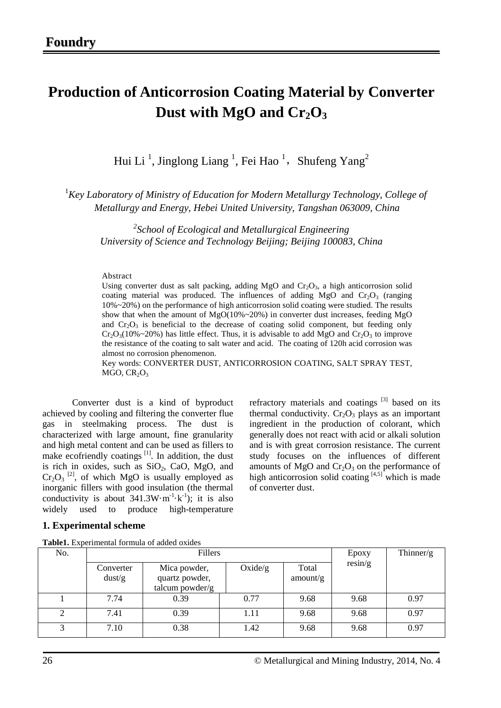# **Production of Anticorrosion Coating Material by Converter**  Dust with MgO and  $Cr<sub>2</sub>O<sub>3</sub>$

Hui Li<sup>1</sup>, Jinglong Liang<sup>1</sup>, Fei Hao<sup>1</sup>, Shufeng Yang<sup>2</sup>

<sup>1</sup> Key Laboratory of Ministry of Education for Modern Metallurgy Technology, College of *Metallurgy and Energy, Hebei United University, Tangshan 063009, China* 

*2 School of Ecological and Metallurgical Engineering University of Science and Technology Beijing; Beijing 100083, China*

#### Abstract

Using converter dust as salt packing, adding MgO and  $Cr_2O_3$ , a high anticorrosion solid coating material was produced. The influences of adding  $MgO$  and  $Cr_2O_3$  (ranging 10%~20%) on the performance of high anticorrosion solid coating were studied. The results show that when the amount of MgO(10%~20%) in converter dust increases, feeding MgO and  $Cr_2O_3$  is beneficial to the decrease of coating solid component, but feeding only  $Cr_2O_3(10\%~20\%)$  has little effect. Thus, it is advisable to add MgO and  $Cr_2O_3$  to improve the resistance of the coating to salt water and acid. The coating of 120h acid corrosion was almost no corrosion phenomenon.

Key words: CONVERTER DUST, ANTICORROSION COATING, SALT SPRAY TEST,  $MGO, CR<sub>2</sub>O<sub>3</sub>$ 

Converter dust is a kind of byproduct achieved by cooling and filtering the converter flue gas in steelmaking process. The dust is characterized with large amount, fine granularity and high metal content and can be used as fillers to make ecofriendly coatings  $\begin{bmatrix} 11 \\ 11 \end{bmatrix}$ . In addition, the dust is rich in oxides, such as  $SiO<sub>2</sub>$ , CaO, MgO, and  $Cr_2O_3$ <sup>[2]</sup>, of which MgO is usually employed as inorganic fillers with good insulation (the thermal conductivity is about  $341.3W \cdot m^{-1} \cdot k^{-1}$ ; it is also widely used to produce high-temperature refractory materials and coatings  $[3]$  based on its thermal conductivity.  $Cr_2O_3$  plays as an important ingredient in the production of colorant, which generally does not react with acid or alkali solution and is with great corrosion resistance. The current study focuses on the influences of different amounts of MgO and  $Cr<sub>2</sub>O<sub>3</sub>$  on the performance of high anticorrosion solid coating  $[4,5]$  which is made of converter dust.

# **1. Experimental scheme**

| <b>Table1.</b> Experimental formula of added oxides |  |
|-----------------------------------------------------|--|
|-----------------------------------------------------|--|

| No. | Fillers             |                                                   |         |                   | Epoxy   | Thinner/g |
|-----|---------------------|---------------------------------------------------|---------|-------------------|---------|-----------|
|     | Converter<br>dust/g | Mica powder,<br>quartz powder,<br>talcum powder/g | Oxide/g | Total<br>amount/g | resin/g |           |
|     | 7.74                | 0.39                                              | 0.77    | 9.68              | 9.68    | 0.97      |
| 2   | 7.41                | 0.39                                              | 1.11    | 9.68              | 9.68    | 0.97      |
| 3   | 7.10                | 0.38                                              | 1.42    | 9.68              | 9.68    | 0.97      |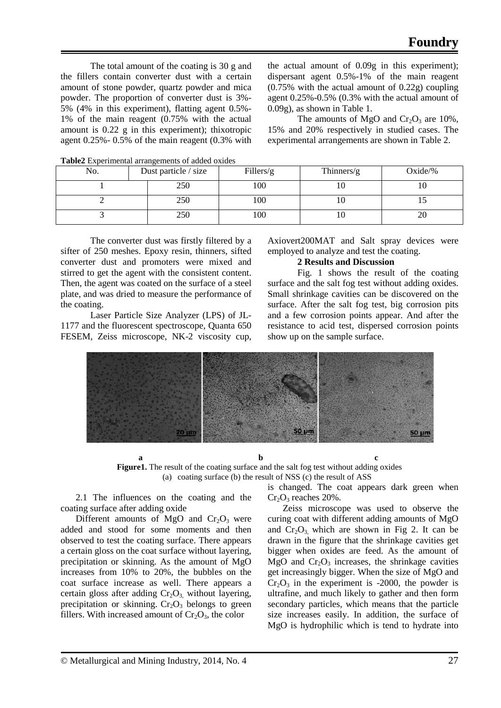The total amount of the coating is 30 g and the fillers contain converter dust with a certain amount of stone powder, quartz powder and mica powder. The proportion of converter dust is 3%- 5% (4% in this experiment), flatting agent 0.5%- 1% of the main reagent (0.75% with the actual amount is  $0.22 \times$  in this experiment); thixotropic agent 0.25%- 0.5% of the main reagent (0.3% with the actual amount of 0.09g in this experiment); dispersant agent 0.5%-1% of the main reagent (0.75% with the actual amount of 0.22g) coupling agent 0.25%-0.5% (0.3% with the actual amount of 0.09g), as shown in Table 1.

The amounts of MgO and  $Cr_2O_3$  are 10%, 15% and 20% respectively in studied cases. The experimental arrangements are shown in Table 2.

| No. | Dust particle / size | Fillers/g | Thinners/g | Oxide/% |  |
|-----|----------------------|-----------|------------|---------|--|
|     | 250                  | 100       | ΙU         | ΙV      |  |
|     | 250                  | 100       | ΙU         |         |  |
|     | 250                  | 100       | ΙU         | 20      |  |

**Table2** Experimental arrangements of added oxides

The converter dust was firstly filtered by a sifter of 250 meshes. Epoxy resin, thinners, sifted converter dust and promoters were mixed and stirred to get the agent with the consistent content. Then, the agent was coated on the surface of a steel plate, and was dried to measure the performance of the coating.

Laser Particle Size Analyzer (LPS) of JL-1177 and the fluorescent spectroscope, Quanta 650 FESEM, Zeiss microscope, NK-2 viscosity cup, Axiovert200MAT and Salt spray devices were employed to analyze and test the coating.

# **2 Results and Discussion**

Fig. 1 shows the result of the coating surface and the salt fog test without adding oxides. Small shrinkage cavities can be discovered on the surface. After the salt fog test, big corrosion pits and a few corrosion points appear. And after the resistance to acid test, dispersed corrosion points show up on the sample surface.



**a** b c **Figure1.** The result of the coating surface and the salt fog test without adding oxides (a) coating surface (b) the result of NSS (c) the result of ASS

2.1 The influences on the coating and the coating surface after adding oxide

Different amounts of MgO and  $Cr_2O_3$  were added and stood for some moments and then observed to test the coating surface. There appears a certain gloss on the coat surface without layering, precipitation or skinning. As the amount of MgO increases from 10% to 20%, the bubbles on the coat surface increase as well. There appears a certain gloss after adding  $Cr_2O_3$ , without layering, precipitation or skinning.  $Cr_2O_3$  belongs to green fillers. With increased amount of  $Cr_2O_3$ , the color

is changed. The coat appears dark green when  $Cr_2O_3$  reaches 20%.

Zeiss microscope was used to observe the curing coat with different adding amounts of MgO and  $Cr_2O_3$  which are shown in Fig 2. It can be drawn in the figure that the shrinkage cavities get bigger when oxides are feed. As the amount of MgO and  $Cr_2O_3$  increases, the shrinkage cavities get increasingly bigger. When the size of MgO and  $Cr_2O_3$  in the experiment is -2000, the powder is ultrafine, and much likely to gather and then form secondary particles, which means that the particle size increases easily. In addition, the surface of MgO is hydrophilic which is tend to hydrate into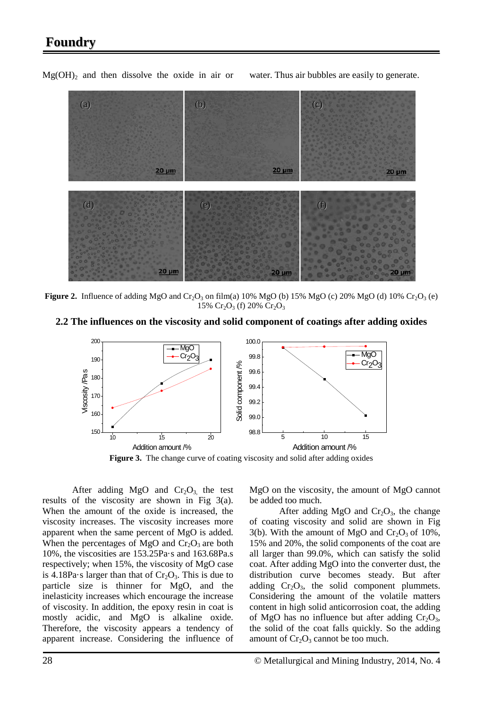# **Foundry**



 $Mg(OH)$ <sub>2</sub> and then dissolve the oxide in air or water. Thus air bubbles are easily to generate.

**Figure 2.** Influence of adding MgO and Cr<sub>2</sub>O<sub>3</sub> on film(a) 10% MgO (b) 15% MgO (c) 20% MgO (d) 10% Cr<sub>2</sub>O<sub>3</sub> (e) 15%  $Cr_2O_3$  (f) 20%  $Cr_2O_3$ 

**2.2 The influences on the viscosity and solid component of coatings after adding oxides**



After adding MgO and  $Cr_2O_3$ , the test results of the viscosity are shown in Fig 3(a). When the amount of the oxide is increased, the viscosity increases. The viscosity increases more apparent when the same percent of MgO is added. When the percentages of MgO and  $Cr_2O_3$  are both 10%, the viscosities are 153.25Pa·s and 163.68Pa.s respectively; when 15%, the viscosity of MgO case is 4.18Pa $\cdot$ s larger than that of  $Cr_2O_3$ . This is due to particle size is thinner for MgO, and the inelasticity increases which encourage the increase of viscosity. In addition, the epoxy resin in coat is mostly acidic, and MgO is alkaline oxide. Therefore, the viscosity appears a tendency of apparent increase. Considering the influence of MgO on the viscosity, the amount of MgO cannot be added too much.

After adding MgO and  $Cr_2O_3$ , the change of coating viscosity and solid are shown in Fig 3(b). With the amount of MgO and  $Cr_2O_3$  of 10%, 15% and 20%, the solid components of the coat are all larger than 99.0%, which can satisfy the solid coat. After adding MgO into the converter dust, the distribution curve becomes steady. But after adding  $Cr_2O_3$ , the solid component plummets. Considering the amount of the volatile matters content in high solid anticorrosion coat, the adding of MgO has no influence but after adding  $Cr_2O_3$ , the solid of the coat falls quickly. So the adding amount of  $Cr_2O_3$  cannot be too much.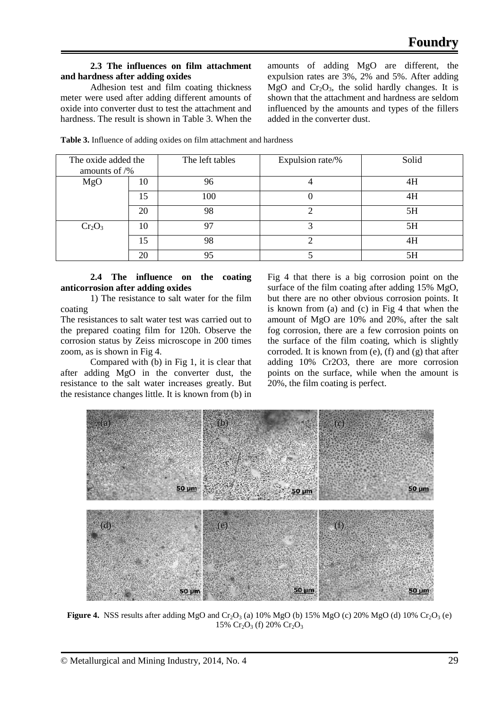# **2.3 The influences on film attachment and hardness after adding oxides**

Adhesion test and film coating thickness meter were used after adding different amounts of oxide into converter dust to test the attachment and hardness. The result is shown in Table 3. When the

The oxide added the amounts of /%

amounts of adding MgO are different, the expulsion rates are 3%, 2% and 5%. After adding MgO and  $Cr_2O_3$ , the solid hardly changes. It is shown that the attachment and hardness are seldom influenced by the amounts and types of the fillers added in the converter dust.

The left tables Expulsion rate/% Solid

| <b>Table 3.</b> Influence of adding oxides on film attachment and hardness |  |
|----------------------------------------------------------------------------|--|
|                                                                            |  |

|           | $\Omega$<br>∠∪ | 98       | 5H |
|-----------|----------------|----------|----|
| $Cr_2O_3$ | ΙU             | $\Omega$ | 5H |
|           |                | 98       | 4H |
|           | $\sim$<br>∠∪   | ∩⊄       | 5H |
|           |                |          |    |

MgO | 10 | 96 | 96 | 4 | 4H

15 100 0 4H

#### **2.4 The influence on the coating anticorrosion after adding oxides**

1) The resistance to salt water for the film coating

The resistances to salt water test was carried out to the prepared coating film for 120h. Observe the corrosion status by Zeiss microscope in 200 times zoom, as is shown in Fig 4.

Compared with (b) in Fig 1, it is clear that after adding MgO in the converter dust, the resistance to the salt water increases greatly. But the resistance changes little. It is known from (b) in

Fig 4 that there is a big corrosion point on the surface of the film coating after adding 15% MgO, but there are no other obvious corrosion points. It is known from (a) and (c) in Fig 4 that when the amount of MgO are 10% and 20%, after the salt fog corrosion, there are a few corrosion points on the surface of the film coating, which is slightly corroded. It is known from (e), (f) and (g) that after adding 10% Cr2O3, there are more corrosion points on the surface, while when the amount is 20%, the film coating is perfect.



**Figure 4.** NSS results after adding MgO and Cr<sub>2</sub>O<sub>3</sub> (a) 10% MgO (b) 15% MgO (c) 20% MgO (d) 10% Cr<sub>2</sub>O<sub>3</sub> (e) 15%  $Cr_2O_3$  (f) 20%  $Cr_2O_3$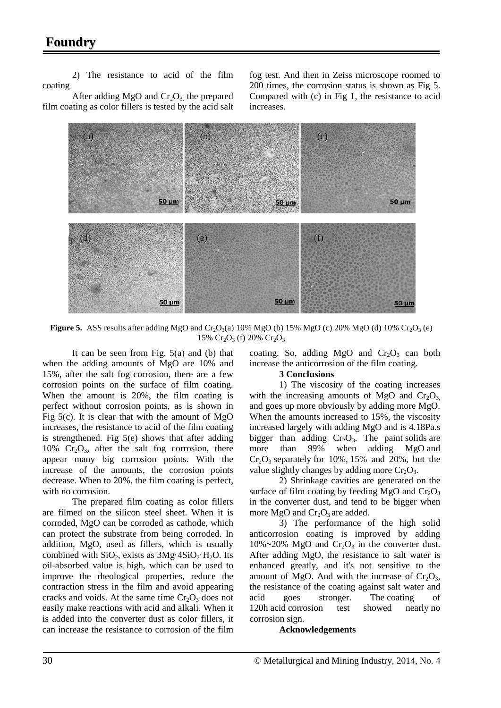# **Foundry**

2) The resistance to acid of the film coating

After adding MgO and  $Cr_2O_3$ , the prepared film coating as color fillers is tested by the acid salt fog test. And then in Zeiss microscope roomed to 200 times, the corrosion status is shown as Fig 5. Compared with (c) in Fig 1, the resistance to acid increases.



**Figure 5.** ASS results after adding MgO and  $Cr_2O_3(a)$  10% MgO (b) 15% MgO (c) 20% MgO (d) 10%  $Cr_2O_3$  (e) 15%  $Cr_2O_3$  (f) 20%  $Cr_2O_3$ 

It can be seen from Fig. 5(a) and (b) that when the adding amounts of MgO are 10% and 15%, after the salt fog corrosion, there are a few corrosion points on the surface of film coating. When the amount is 20%, the film coating is perfect without corrosion points, as is shown in Fig  $5(c)$ . It is clear that with the amount of MgO increases, the resistance to acid of the film coating is strengthened. Fig  $5(e)$  shows that after adding  $10\%$  Cr<sub>2</sub>O<sub>3</sub>, after the salt fog corrosion, there appear many big corrosion points. With the increase of the amounts, the corrosion points decrease. When to 20%, the film coating is perfect, with no corrosion.

The prepared film coating as color fillers are filmed on the silicon steel sheet. When it is corroded, MgO can be corroded as cathode, which can protect the substrate from being corroded. In addition, MgO, used as fillers, which is usually combined with  $SiO_2$ , exists as  $3Mg \cdot 4SiO_2 \cdot H_2O$ . Its oil-absorbed value is high, which can be used to improve the rheological properties, reduce the contraction stress in the film and avoid appearing cracks and voids. At the same time  $Cr_2O_3$  does not easily make reactions with acid and alkali. When it is added into the converter dust as color fillers, it can increase the resistance to corrosion of the film

coating. So, adding MgO and  $Cr_2O_3$  can both increase the anticorrosion of the film coating.

# **3 Conclusions**

1) The viscosity of the coating increases with the increasing amounts of MgO and  $Cr_2O_3$ and goes up more obviously by adding more MgO. When the amounts increased to 15%, the viscosity increased largely with adding MgO and is 4.18Pa.s bigger than adding  $Cr_2O_3$ . The paint solids are more than 99% when adding MgO and  $Cr_2O_3$  separately for 10%, 15% and 20%, but the value slightly changes by adding more  $Cr_2O_3$ .

2) Shrinkage cavities are generated on the surface of film coating by feeding MgO and  $Cr_2O_3$ in the converter dust, and tend to be bigger when more MgO and  $Cr_2O_3$  are added.

3) The performance of the high solid anticorrosion coating is improved by adding  $10\% \sim 20\%$  MgO and Cr<sub>2</sub>O<sub>3</sub> in the converter dust. After adding MgO, the resistance to salt water is enhanced greatly, and it's not sensitive to the amount of MgO. And with the increase of  $Cr_2O_3$ , the resistance of the coating against salt water and acid goes stronger. The coating of 120h acid corrosion test showed nearly no corrosion sign.

# **Acknowledgements**